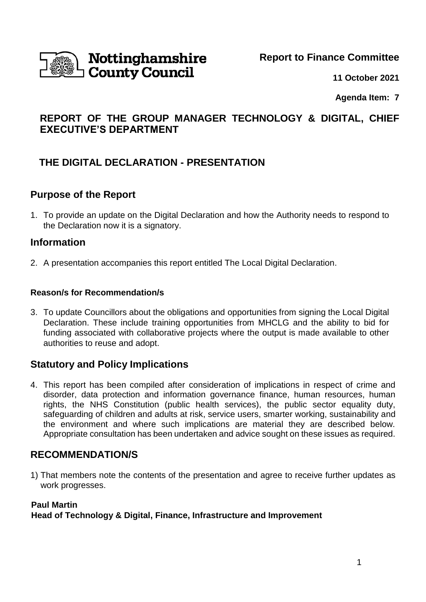

### **Report to Finance Committee**

**11 October 2021**

**Agenda Item: 7**

# **REPORT OF THE GROUP MANAGER TECHNOLOGY & DIGITAL, CHIEF EXECUTIVE'S DEPARTMENT**

# **THE DIGITAL DECLARATION - PRESENTATION**

### **Purpose of the Report**

1. To provide an update on the Digital Declaration and how the Authority needs to respond to the Declaration now it is a signatory.

### **Information**

2. A presentation accompanies this report entitled The Local Digital Declaration.

#### **Reason/s for Recommendation/s**

3. To update Councillors about the obligations and opportunities from signing the Local Digital Declaration. These include training opportunities from MHCLG and the ability to bid for funding associated with collaborative projects where the output is made available to other authorities to reuse and adopt.

### **Statutory and Policy Implications**

4. This report has been compiled after consideration of implications in respect of crime and disorder, data protection and information governance finance, human resources, human rights, the NHS Constitution (public health services), the public sector equality duty, safeguarding of children and adults at risk, service users, smarter working, sustainability and the environment and where such implications are material they are described below. Appropriate consultation has been undertaken and advice sought on these issues as required.

## **RECOMMENDATION/S**

1) That members note the contents of the presentation and agree to receive further updates as work progresses.

#### **Paul Martin**

**Head of Technology & Digital, Finance, Infrastructure and Improvement**